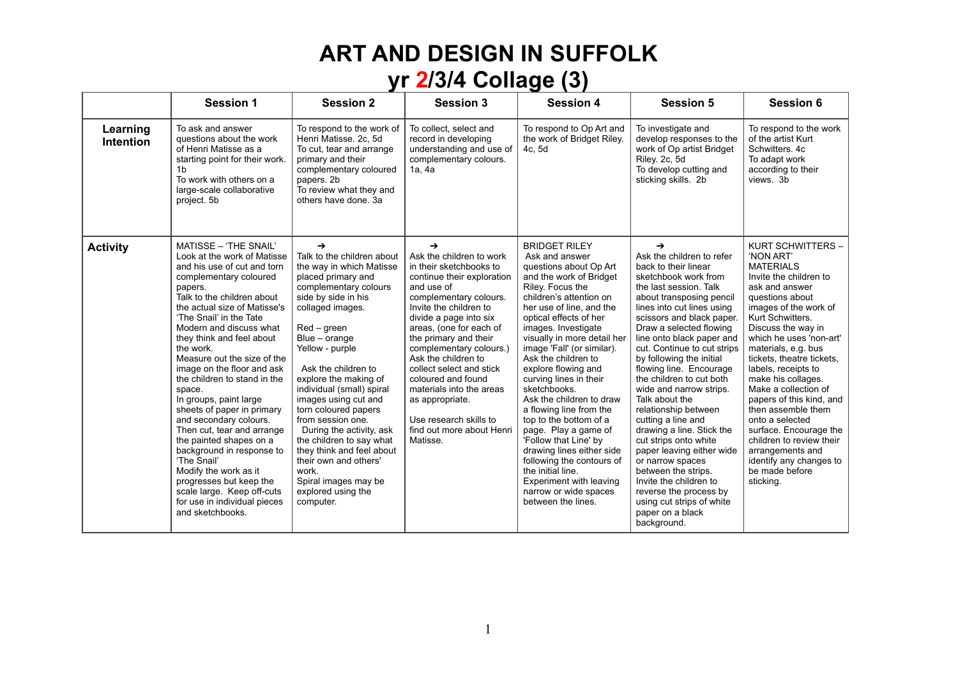## **ART AND DESIGN IN SUFFOLK**

|  |  | yr 2/3/4 Collage (3) |  |
|--|--|----------------------|--|
|--|--|----------------------|--|

|                       | <b>Session 1</b>                                                                                                                                                                                                                                                                                                                                                                                                                                                                                                                                                                                                                                                                                                           | <b>Session 2</b>                                                                                                                                                                                                                                                                                                                                                                                                                                                                                                                                             | <b>Session 3</b>                                                                                                                                                                                                                                                                                                                                                                                                                                                         | <b>Session 4</b>                                                                                                                                                                                                                                                                                                                                                                                                                                                                                                                                                                                                                                                        | <b>Session 5</b>                                                                                                                                                                                                                                                                                                                                                                                                                                                                                                                                                                                                                                                                                                                   | <b>Session 6</b>                                                                                                                                                                                                                                                                                                                                                                                                                                                                                                                                  |
|-----------------------|----------------------------------------------------------------------------------------------------------------------------------------------------------------------------------------------------------------------------------------------------------------------------------------------------------------------------------------------------------------------------------------------------------------------------------------------------------------------------------------------------------------------------------------------------------------------------------------------------------------------------------------------------------------------------------------------------------------------------|--------------------------------------------------------------------------------------------------------------------------------------------------------------------------------------------------------------------------------------------------------------------------------------------------------------------------------------------------------------------------------------------------------------------------------------------------------------------------------------------------------------------------------------------------------------|--------------------------------------------------------------------------------------------------------------------------------------------------------------------------------------------------------------------------------------------------------------------------------------------------------------------------------------------------------------------------------------------------------------------------------------------------------------------------|-------------------------------------------------------------------------------------------------------------------------------------------------------------------------------------------------------------------------------------------------------------------------------------------------------------------------------------------------------------------------------------------------------------------------------------------------------------------------------------------------------------------------------------------------------------------------------------------------------------------------------------------------------------------------|------------------------------------------------------------------------------------------------------------------------------------------------------------------------------------------------------------------------------------------------------------------------------------------------------------------------------------------------------------------------------------------------------------------------------------------------------------------------------------------------------------------------------------------------------------------------------------------------------------------------------------------------------------------------------------------------------------------------------------|---------------------------------------------------------------------------------------------------------------------------------------------------------------------------------------------------------------------------------------------------------------------------------------------------------------------------------------------------------------------------------------------------------------------------------------------------------------------------------------------------------------------------------------------------|
| Learning<br>Intention | To ask and answer<br>questions about the work<br>of Henri Matisse as a<br>starting point for their work.<br>1b<br>To work with others on a<br>large-scale collaborative<br>project. 5b                                                                                                                                                                                                                                                                                                                                                                                                                                                                                                                                     | To respond to the work of<br>Henri Matisse. 2c, 5d<br>To cut, tear and arrange<br>primary and their<br>complementary coloured<br>papers. 2b<br>To review what they and<br>others have done. 3a                                                                                                                                                                                                                                                                                                                                                               | To collect, select and<br>record in developing<br>understanding and use of<br>complementary colours.<br>1a, 4a                                                                                                                                                                                                                                                                                                                                                           | To respond to Op Art and<br>the work of Bridget Riley.<br>4c, 5d                                                                                                                                                                                                                                                                                                                                                                                                                                                                                                                                                                                                        | To investigate and<br>develop responses to the<br>work of Op artist Bridget<br>Riley. 2c, 5d<br>To develop cutting and<br>sticking skills. 2b                                                                                                                                                                                                                                                                                                                                                                                                                                                                                                                                                                                      | To respond to the work<br>of the artist Kurt<br>Schwitters, 4c<br>To adapt work<br>according to their<br>views. 3b                                                                                                                                                                                                                                                                                                                                                                                                                                |
| <b>Activity</b>       | MATISSE - 'THE SNAIL'<br>Look at the work of Matisse<br>and his use of cut and torn<br>complementary coloured<br>papers.<br>Talk to the children about<br>the actual size of Matisse's<br>'The Snail' in the Tate<br>Modern and discuss what<br>they think and feel about<br>the work.<br>Measure out the size of the<br>image on the floor and ask<br>the children to stand in the<br>space.<br>In groups, paint large<br>sheets of paper in primary<br>and secondary colours.<br>Then cut, tear and arrange<br>the painted shapes on a<br>background in response to<br>'The Snail'<br>Modify the work as it<br>progresses but keep the<br>scale large. Keep off-cuts<br>for use in individual pieces<br>and sketchbooks. | $\rightarrow$<br>Talk to the children about<br>the way in which Matisse<br>placed primary and<br>complementary colours<br>side by side in his<br>collaged images.<br>$Red - green$<br>$Blue - orange$<br>Yellow - purple<br>Ask the children to<br>explore the making of<br>individual (small) spiral<br>images using cut and<br>torn coloured papers<br>from session one.<br>During the activity, ask<br>the children to say what<br>they think and feel about<br>their own and others'<br>work.<br>Spiral images may be<br>explored using the<br>computer. | $\rightarrow$<br>Ask the children to work<br>in their sketchbooks to<br>continue their exploration<br>and use of<br>complementary colours.<br>Invite the children to<br>divide a page into six<br>areas, (one for each of<br>the primary and their<br>complementary colours.)<br>Ask the children to<br>collect select and stick<br>coloured and found<br>materials into the areas<br>as appropriate.<br>Use research skills to<br>find out more about Henri<br>Matisse. | <b>BRIDGET RILEY</b><br>Ask and answer<br>questions about Op Art<br>and the work of Bridget<br>Riley. Focus the<br>children's attention on<br>her use of line, and the<br>optical effects of her<br>images. Investigate<br>visually in more detail her<br>image 'Fall' (or similar).<br>Ask the children to<br>explore flowing and<br>curving lines in their<br>sketchbooks.<br>Ask the children to draw<br>a flowing line from the<br>top to the bottom of a<br>page. Play a game of<br>'Follow that Line' by<br>drawing lines either side<br>following the contours of<br>the initial line.<br>Experiment with leaving<br>narrow or wide spaces<br>between the lines. | $\rightarrow$<br>Ask the children to refer<br>back to their linear<br>sketchbook work from<br>the last session. Talk<br>about transposing pencil<br>lines into cut lines using<br>scissors and black paper.<br>Draw a selected flowing<br>line onto black paper and<br>cut. Continue to cut strips<br>by following the initial<br>flowing line. Encourage<br>the children to cut both<br>wide and narrow strips.<br>Talk about the<br>relationship between<br>cutting a line and<br>drawing a line. Stick the<br>cut strips onto white<br>paper leaving either wide<br>or narrow spaces<br>between the strips.<br>Invite the children to<br>reverse the process by<br>using cut strips of white<br>paper on a black<br>background. | KURT SCHWITTERS -<br>'NON ART'<br><b>MATERIALS</b><br>Invite the children to<br>ask and answer<br>questions about<br>images of the work of<br>Kurt Schwitters.<br>Discuss the way in<br>which he uses 'non-art'<br>materials, e.g. bus<br>tickets, theatre tickets,<br>labels, receipts to<br>make his collages.<br>Make a collection of<br>papers of this kind, and<br>then assemble them<br>onto a selected<br>surface. Encourage the<br>children to review their<br>arrangements and<br>identify any changes to<br>be made before<br>sticking. |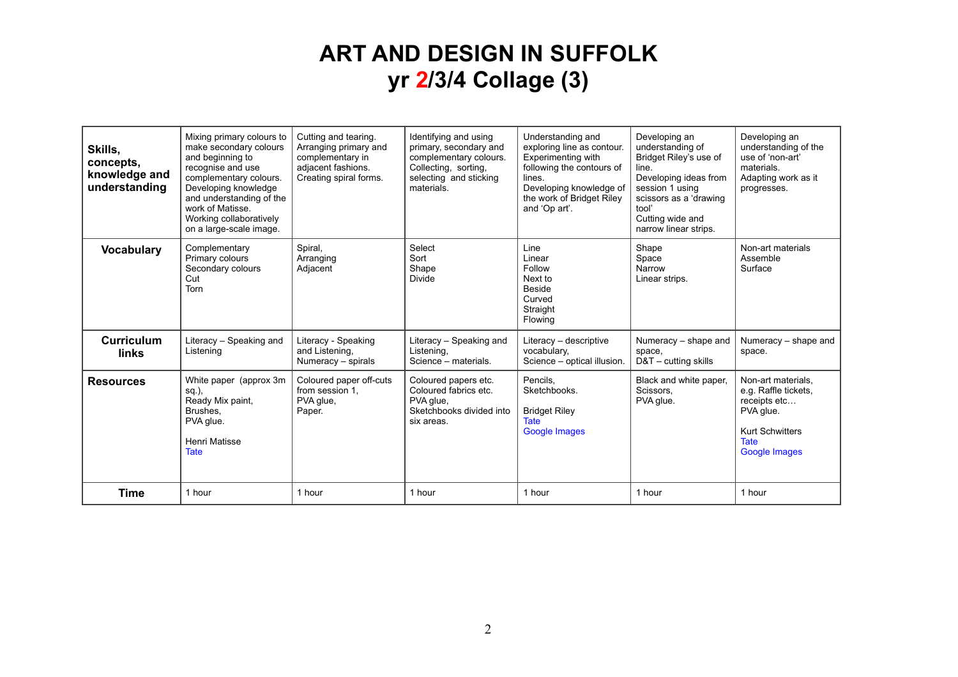## **ART AND DESIGN IN SUFFOLK yr 2/3/4 Collage (3)**

| Skills,<br>concepts,<br>knowledge and<br>understanding | Mixing primary colours to<br>make secondary colours<br>and beginning to<br>recognise and use<br>complementary colours.<br>Developing knowledge<br>and understanding of the<br>work of Matisse.<br>Working collaboratively<br>on a large-scale image. | Cutting and tearing.<br>Arranging primary and<br>complementary in<br>adjacent fashions.<br>Creating spiral forms. | Identifying and using<br>primary, secondary and<br>complementary colours.<br>Collecting, sorting,<br>selecting and sticking<br>materials. | Understanding and<br>exploring line as contour.<br>Experimenting with<br>following the contours of<br>lines.<br>Developing knowledge of<br>the work of Bridget Riley<br>and 'Op art'. | Developing an<br>understanding of<br>Bridget Riley's use of<br>line.<br>Developing ideas from<br>session 1 using<br>scissors as a 'drawing<br>tool'<br>Cutting wide and<br>narrow linear strips. | Developing an<br>understanding of the<br>use of 'non-art'<br>materials.<br>Adapting work as it<br>progresses.                     |
|--------------------------------------------------------|------------------------------------------------------------------------------------------------------------------------------------------------------------------------------------------------------------------------------------------------------|-------------------------------------------------------------------------------------------------------------------|-------------------------------------------------------------------------------------------------------------------------------------------|---------------------------------------------------------------------------------------------------------------------------------------------------------------------------------------|--------------------------------------------------------------------------------------------------------------------------------------------------------------------------------------------------|-----------------------------------------------------------------------------------------------------------------------------------|
| <b>Vocabulary</b>                                      | Complementary<br>Primary colours<br>Secondary colours<br>Cut<br>Torn                                                                                                                                                                                 | Spiral,<br>Arranging<br>Adjacent                                                                                  | Select<br>Sort<br>Shape<br><b>Divide</b>                                                                                                  | Line<br>Linear<br>Follow<br>Next to<br><b>Beside</b><br>Curved<br>Straight<br>Flowing                                                                                                 | Shape<br>Space<br>Narrow<br>Linear strips.                                                                                                                                                       | Non-art materials<br>Assemble<br>Surface                                                                                          |
| Curriculum<br>links                                    | Literacy - Speaking and<br>Listening                                                                                                                                                                                                                 | Literacy - Speaking<br>and Listening,<br>Numeracy - spirals                                                       | Literacy - Speaking and<br>Listening,<br>Science - materials.                                                                             | Literacy - descriptive<br>vocabulary,<br>Science - optical illusion.                                                                                                                  | Numeracy - shape and<br>space,<br>$D&T$ – cutting skills                                                                                                                                         | Numeracy - shape and<br>space.                                                                                                    |
| <b>Resources</b>                                       | White paper (approx 3m)<br>$sq.$ ),<br>Ready Mix paint,<br>Brushes,<br>PVA glue.<br><b>Henri Matisse</b><br><b>Tate</b>                                                                                                                              | Coloured paper off-cuts<br>from session 1.<br>PVA glue,<br>Paper.                                                 | Coloured papers etc.<br>Coloured fabrics etc.<br>PVA glue,<br>Sketchbooks divided into<br>six areas.                                      | Pencils.<br>Sketchbooks.<br><b>Bridget Riley</b><br><b>Tate</b><br><b>Google Images</b>                                                                                               | Black and white paper,<br>Scissors.<br>PVA glue.                                                                                                                                                 | Non-art materials.<br>e.g. Raffle tickets,<br>receipts etc<br>PVA glue.<br><b>Kurt Schwitters</b><br><b>Tate</b><br>Google Images |
| <b>Time</b>                                            | 1 hour                                                                                                                                                                                                                                               | 1 hour                                                                                                            | 1 hour                                                                                                                                    | 1 hour                                                                                                                                                                                | 1 hour                                                                                                                                                                                           | 1 hour                                                                                                                            |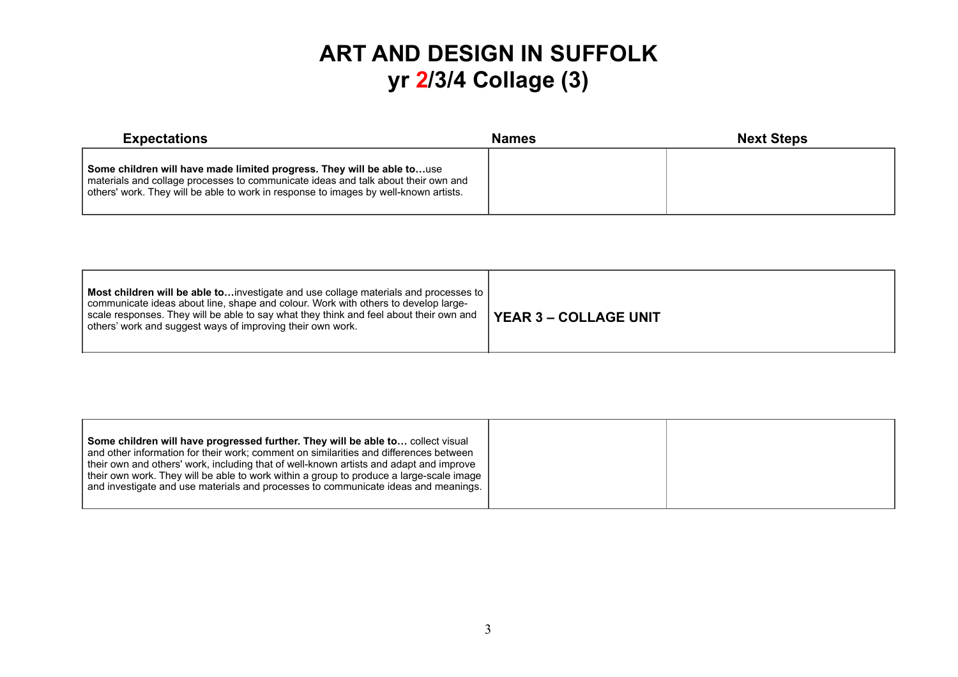## **ART AND DESIGN IN SUFFOLK yr 2/3/4 Collage (3)**

| <b>Expectations</b>                                                                                                                                                                                                                                 | <b>Names</b> | <b>Next Steps</b> |
|-----------------------------------------------------------------------------------------------------------------------------------------------------------------------------------------------------------------------------------------------------|--------------|-------------------|
| Some children will have made limited progress. They will be able touse<br>materials and collage processes to communicate ideas and talk about their own and<br>others' work. They will be able to work in response to images by well-known artists. |              |                   |

| Most children will be able toinvestigate and use collage materials and processes to<br>communicate ideas about line, shape and colour. Work with others to develop large-<br>scale responses. They will be able to say what they think and feel about their own and<br>others' work and suggest ways of improving their own work. | <b>YEAR 3 - COLLAGE UNIT</b> |
|-----------------------------------------------------------------------------------------------------------------------------------------------------------------------------------------------------------------------------------------------------------------------------------------------------------------------------------|------------------------------|
|-----------------------------------------------------------------------------------------------------------------------------------------------------------------------------------------------------------------------------------------------------------------------------------------------------------------------------------|------------------------------|

| Some children will have progressed further. They will be able to collect visual<br>and other information for their work; comment on similarities and differences between<br>their own and others' work, including that of well-known artists and adapt and improve<br>their own work. They will be able to work within a group to produce a large-scale image<br>and investigate and use materials and processes to communicate ideas and meanings. |  |
|-----------------------------------------------------------------------------------------------------------------------------------------------------------------------------------------------------------------------------------------------------------------------------------------------------------------------------------------------------------------------------------------------------------------------------------------------------|--|
|                                                                                                                                                                                                                                                                                                                                                                                                                                                     |  |